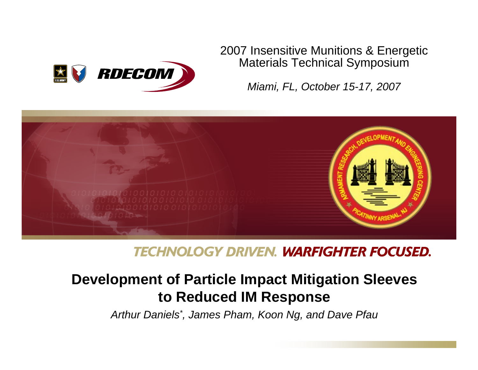

### 2007 Insensitive Munitions & Energetic Materials Technical Symposium

*Miami, FL, October 15-17, 2007*



## **TECHNOLOGY DRIVEN. WARFIGHTER FOCUSED.**

# **Development of Particle Impact Mitigation Sleeves to Reduced IM Response**

*Arthur Daniels\*, James Pham, Koon Ng, and Dave Pfau*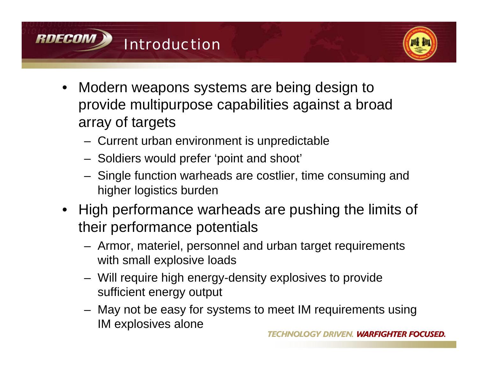



- Modern weapons systems are being design to provide multipurpose capabilities against a broad array of targets
	- Current urban environment is unpredictable
	- Soldiers would prefer 'point and shoot'
	- Single function warheads are costlier, time consuming and higher logistics burden
- High performance warheads are pushing the limits of their performance potentials
	- Armor, materiel, personnel and urban target requirements with small explosive loads
	- Will require high energy-density explosives to provide sufficient energy output
	- May not be easy for systems to meet IM requirements using IM explosives alone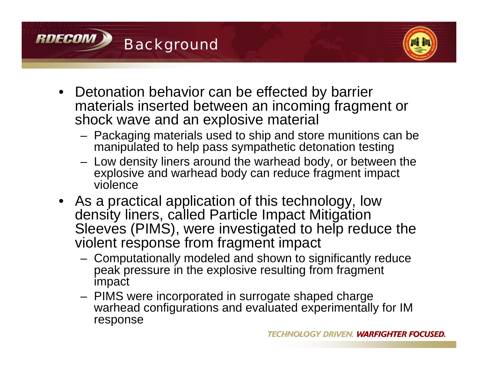



- Detonation behavior can be effected by barrier materials inserted between an incoming fragment or shock wave and an explosive material
	- Packaging materials used to ship and store munitions can be manipulated to help pass sympathetic detonation testing
	- Low density liners around the warhead body, or between the explosive and warhead body can reduce fragment impact violence
- As a practical application of this technology, low density liners, called Particle Impact Mitigation Sleeves (PIMS), were investigated to help reduce the violent response from fragment impact
	- Computationally modeled and shown to significantly reduce peak pressure in the explosive resulting from fragment impact
	- PIMS were incorporated in surrogate shaped charge warhead configurations and evaluated experimentally for IM response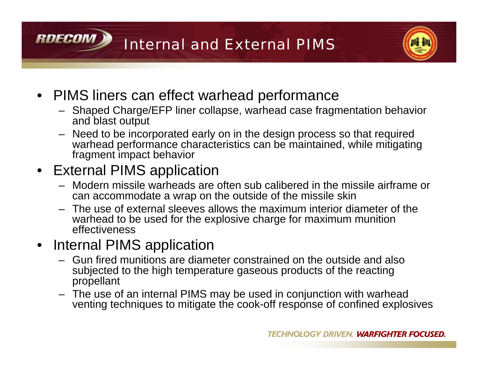Internal and External PIMS



- PIMS liners can effect warhead performance
	- Shaped Charge/EFP liner collapse, warhead case fragmentation behavior and blast output
	- Need to be incorporated early on in the design process so that required warhead performance characteristics can be maintained, while mitigating fragment impact behavior
- External PIMS application

RNFCAM

- Modern missile warheads are often sub calibered in the missile airframe or can accommodate a wrap on the outside of the missile skin
- The use of external sleeves allows the maximum interior diameter of the warhead to be used for the explosive charge for maximum munition effectiveness
- Internal PIMS application
	- Gun fired munitions are diameter constrained on the outside and also subjected to the high temperature gaseous products of the reacting propellant
	- The use of an internal PIMS may be used in conjunction with warhead venting techniques to mitigate the cook-off response of confined explosives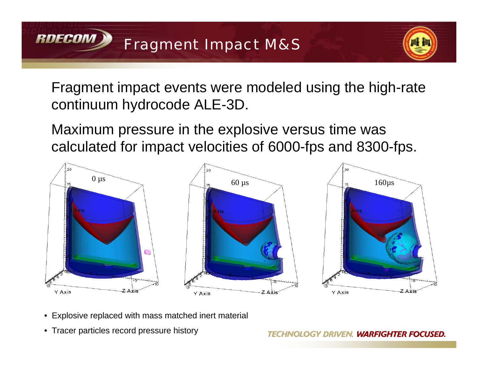

Fragment impact events were modeled using the high-rate continuum hydrocode ALE-3D.

Maximum pressure in the explosive versus time was calculated for impact velocities of 6000-fps and 8300-fps.



- Explosive replaced with mass matched inert material
- Tracer particles record pressure history

**RDECOM**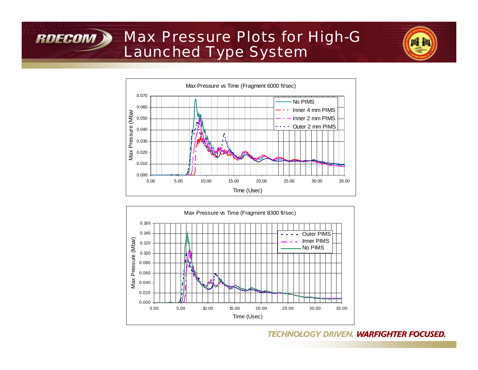# Max Pressure Plots for High-G Launched Type System

**RDECOM** 





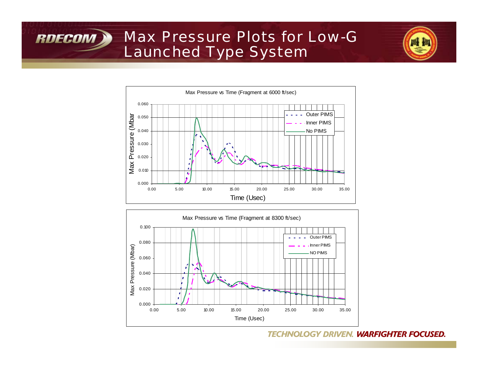## Max Pressure Plots for Low-G Launched Type System

**RDECOM** 





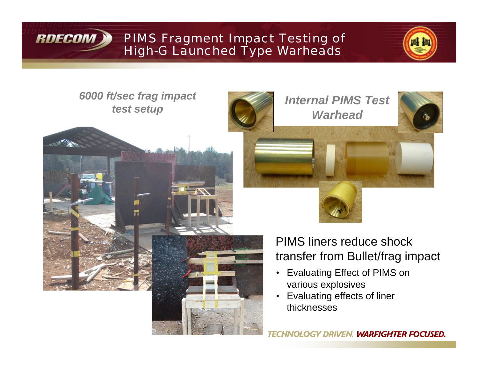

PIMS Fragment Impact Testing of High-G Launched Type Warheads



*6000 ft/sec frag impact test setup*



*Internal PIMS Test Warhead*

## PIMS liners reduce shock transfer from Bullet/frag impact

- Evaluating Effect of PIMS on various explosives
- Evaluating effects of liner thicknesses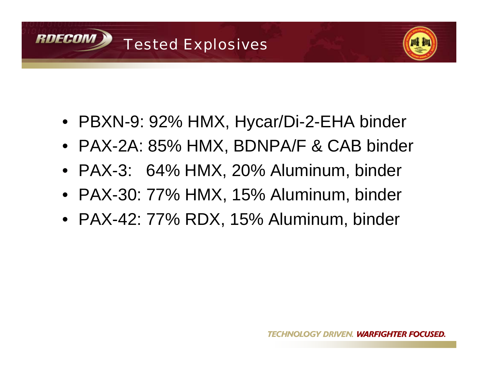



- PBXN-9: 92% HMX, Hycar/Di-2-EHA binder
- PAX-2A: 85% HMX, BDNPA/F & CAB binder
- PAX-3: 64% HMX, 20% Aluminum, binder
- PAX-30: 77% HMX, 15% Aluminum, binder
- PAX-42: 77% RDX, 15% Aluminum, binder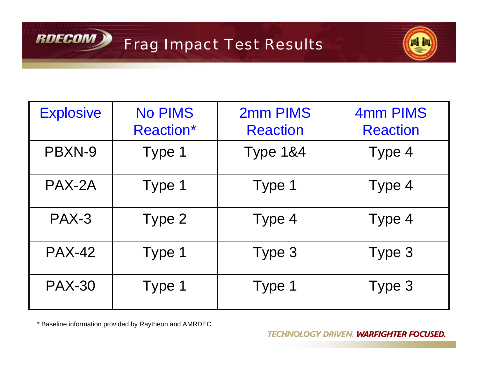



| <b>Explosive</b> | <b>No PIMS</b><br><b>Reaction*</b> | 2mm PIMS<br><b>Reaction</b> | 4mm PIMS<br><b>Reaction</b> |
|------------------|------------------------------------|-----------------------------|-----------------------------|
| PBXN-9           | Type 1                             | <b>Type 1&amp;4</b>         | Type 4                      |
| PAX-2A           | Type 1                             | Type 1                      | Type 4                      |
| $PAX-3$          | Type 2                             | Type 4                      | Type 4                      |
| <b>PAX-42</b>    | Type 1                             | Type 3                      | Type 3                      |
| <b>PAX-30</b>    | Type 1                             | Type 1                      | Type 3                      |

\* Baseline information provided by Raytheon and AMRDEC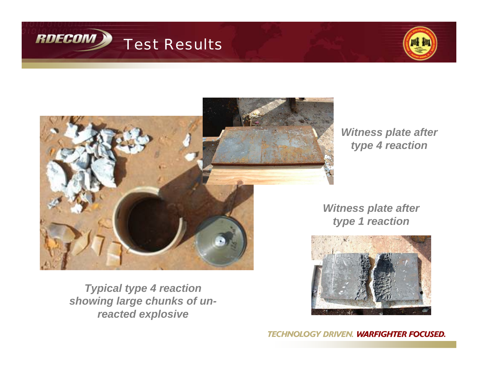





*Witness plate after type 4 reaction*

*Witness plate after type 1 reaction*



*Typical type 4 reaction showing large chunks of unreacted explosive*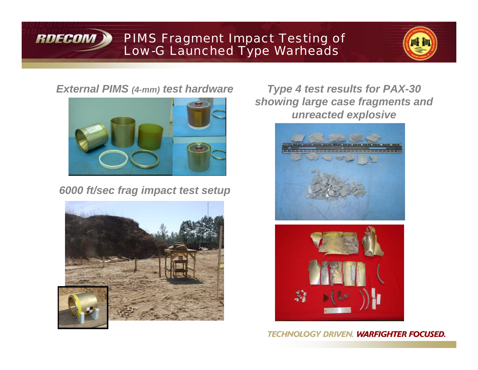

### PIMS Fragment Impact Testing of Low-G Launched Type Warheads



### *External PIMS (4-mm) test hardware*



*6000 ft/sec frag impact test setup*



*Type 4 test results for PAX-30 showing large case fragments and unreacted explosive*



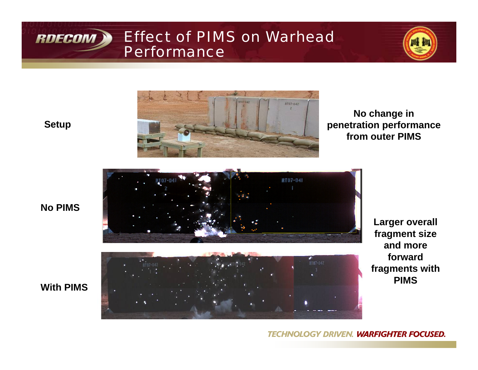

### Effect of PIMS on Warhead **Performance**



**Setup**



**No change in penetration performance from outer PIMS**



**Larger overall fragment size and more forward fragments with PIMS** 

#### **TECHNOLOGY DRIVEN. WARFIGHTER FOCUSED.**

### **No PIMS**

### **With PIMS**